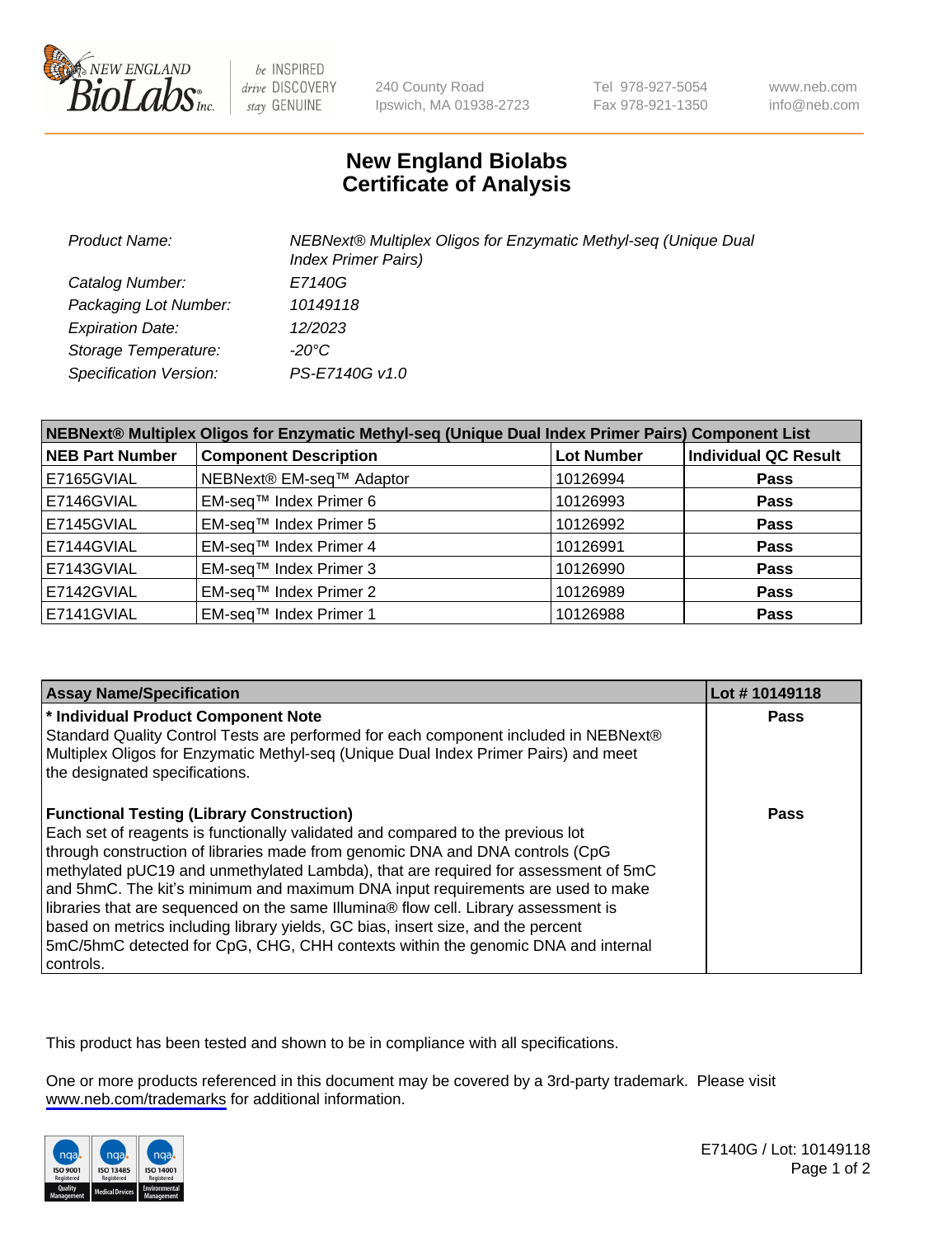

be INSPIRED drive DISCOVERY stay GENUINE

240 County Road Ipswich, MA 01938-2723 Tel 978-927-5054 Fax 978-921-1350

www.neb.com info@neb.com

## **New England Biolabs Certificate of Analysis**

| <b>Product Name:</b>          | NEBNext® Multiplex Oligos for Enzymatic Methyl-seq (Unique Dual<br><b>Index Primer Pairs)</b> |
|-------------------------------|-----------------------------------------------------------------------------------------------|
| Catalog Number:               | E7140G                                                                                        |
| Packaging Lot Number:         | 10149118                                                                                      |
| <b>Expiration Date:</b>       | 12/2023                                                                                       |
| Storage Temperature:          | $-20^{\circ}$ C                                                                               |
| <b>Specification Version:</b> | PS-E7140G v1.0                                                                                |

| NEBNext® Multiplex Oligos for Enzymatic Methyl-seq (Unique Dual Index Primer Pairs) Component List |                              |                   |                             |  |
|----------------------------------------------------------------------------------------------------|------------------------------|-------------------|-----------------------------|--|
| <b>NEB Part Number</b>                                                                             | <b>Component Description</b> | <b>Lot Number</b> | <b>Individual QC Result</b> |  |
| E7165GVIAL                                                                                         | NEBNext® EM-seq™ Adaptor     | 10126994          | <b>Pass</b>                 |  |
| E7146GVIAL                                                                                         | EM-seq™ Index Primer 6       | 10126993          | <b>Pass</b>                 |  |
| E7145GVIAL                                                                                         | EM-seq™ Index Primer 5       | 10126992          | <b>Pass</b>                 |  |
| E7144GVIAL                                                                                         | EM-seq™ Index Primer 4       | 10126991          | <b>Pass</b>                 |  |
| E7143GVIAL                                                                                         | EM-seq™ Index Primer 3       | 10126990          | <b>Pass</b>                 |  |
| E7142GVIAL                                                                                         | EM-seq™ Index Primer 2       | 10126989          | <b>Pass</b>                 |  |
| E7141GVIAL                                                                                         | EM-seq™ Index Primer 1       | 10126988          | <b>Pass</b>                 |  |

| <b>Assay Name/Specification</b>                                                                                                                                                                                                                                                                                                                                                                                                                                                                                                                                                                                                                                           | Lot #10149118 |
|---------------------------------------------------------------------------------------------------------------------------------------------------------------------------------------------------------------------------------------------------------------------------------------------------------------------------------------------------------------------------------------------------------------------------------------------------------------------------------------------------------------------------------------------------------------------------------------------------------------------------------------------------------------------------|---------------|
| * Individual Product Component Note<br>Standard Quality Control Tests are performed for each component included in NEBNext®                                                                                                                                                                                                                                                                                                                                                                                                                                                                                                                                               | Pass          |
| Multiplex Oligos for Enzymatic Methyl-seq (Unique Dual Index Primer Pairs) and meet<br>the designated specifications.                                                                                                                                                                                                                                                                                                                                                                                                                                                                                                                                                     |               |
| <b>Functional Testing (Library Construction)</b><br>Each set of reagents is functionally validated and compared to the previous lot<br>through construction of libraries made from genomic DNA and DNA controls (CpG<br>methylated pUC19 and unmethylated Lambda), that are required for assessment of 5mC<br>and 5hmC. The kit's minimum and maximum DNA input requirements are used to make<br>libraries that are sequenced on the same Illumina® flow cell. Library assessment is<br>based on metrics including library yields, GC bias, insert size, and the percent<br>5mC/5hmC detected for CpG, CHG, CHH contexts within the genomic DNA and internal<br>controls. | Pass          |

This product has been tested and shown to be in compliance with all specifications.

One or more products referenced in this document may be covered by a 3rd-party trademark. Please visit <www.neb.com/trademarks>for additional information.